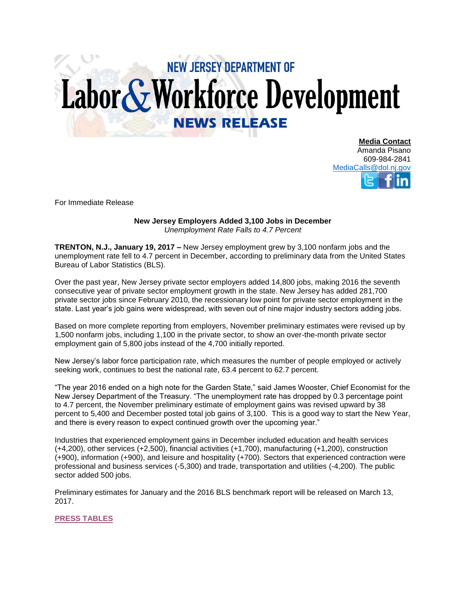## **NEW JERSEY DEPARTMENT OF** Labor & Workforce Development **NEWS RELEASE**

**Media Contact** Amanda Pisano 609-984-2841 [MediaCalls@dol.nj.gov](mailto:MediaCalls@dol.nj.gov)

For Immediate Release

## **New Jersey Employers Added 3,100 Jobs in December**  *Unemployment Rate Falls to 4.7 Percent*

**TRENTON, N.J., January 19, 2017 –** New Jersey employment grew by 3,100 nonfarm jobs and the unemployment rate fell to 4.7 percent in December, according to preliminary data from the United States Bureau of Labor Statistics (BLS).

Over the past year, New Jersey private sector employers added 14,800 jobs, making 2016 the seventh consecutive year of private sector employment growth in the state. New Jersey has added 281,700 private sector jobs since February 2010, the recessionary low point for private sector employment in the state. Last year's job gains were widespread, with seven out of nine major industry sectors adding jobs.

Based on more complete reporting from employers, November preliminary estimates were revised up by 1,500 nonfarm jobs, including 1,100 in the private sector, to show an over-the-month private sector employment gain of 5,800 jobs instead of the 4,700 initially reported.

New Jersey's labor force participation rate, which measures the number of people employed or actively seeking work, continues to best the national rate, 63.4 percent to 62.7 percent.

"The year 2016 ended on a high note for the Garden State," said James Wooster, Chief Economist for the New Jersey Department of the Treasury. "The unemployment rate has dropped by 0.3 percentage point to 4.7 percent, the November preliminary estimate of employment gains was revised upward by 38 percent to 5,400 and December posted total job gains of 3,100. This is a good way to start the New Year, and there is every reason to expect continued growth over the upcoming year."

Industries that experienced employment gains in December included education and health services (+4,200), other services (+2,500), financial activities (+1,700), manufacturing (+1,200), construction (+900), information (+900), and leisure and hospitality (+700). Sectors that experienced contraction were professional and business services (-5,300) and trade, transportation and utilities (-4,200). The public sector added 500 jobs.

Preliminary estimates for January and the 2016 BLS benchmark report will be released on March 13, 2017.

## **[PRESS TABLES](http://lwd.dol.state.nj.us/labor/forms_pdfs/lwdhome/press/2017/20170119UITables.pdf)**